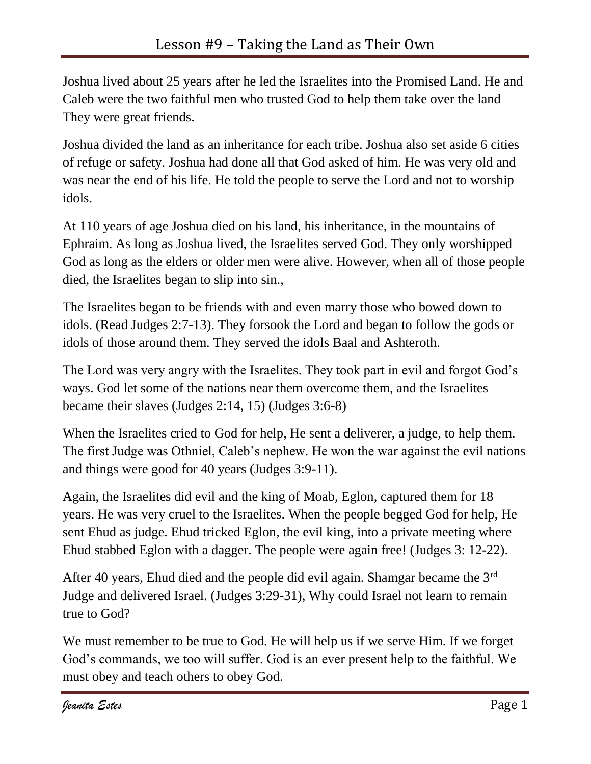Joshua lived about 25 years after he led the Israelites into the Promised Land. He and Caleb were the two faithful men who trusted God to help them take over the land They were great friends.

Joshua divided the land as an inheritance for each tribe. Joshua also set aside 6 cities of refuge or safety. Joshua had done all that God asked of him. He was very old and was near the end of his life. He told the people to serve the Lord and not to worship idols.

At 110 years of age Joshua died on his land, his inheritance, in the mountains of Ephraim. As long as Joshua lived, the Israelites served God. They only worshipped God as long as the elders or older men were alive. However, when all of those people died, the Israelites began to slip into sin.,

The Israelites began to be friends with and even marry those who bowed down to idols. (Read Judges 2:7-13). They forsook the Lord and began to follow the gods or idols of those around them. They served the idols Baal and Ashteroth.

The Lord was very angry with the Israelites. They took part in evil and forgot God's ways. God let some of the nations near them overcome them, and the Israelites became their slaves (Judges 2:14, 15) (Judges 3:6-8)

When the Israelites cried to God for help, He sent a deliverer, a judge, to help them. The first Judge was Othniel, Caleb's nephew. He won the war against the evil nations and things were good for 40 years (Judges 3:9-11).

Again, the Israelites did evil and the king of Moab, Eglon, captured them for 18 years. He was very cruel to the Israelites. When the people begged God for help, He sent Ehud as judge. Ehud tricked Eglon, the evil king, into a private meeting where Ehud stabbed Eglon with a dagger. The people were again free! (Judges 3: 12-22).

After 40 years, Ehud died and the people did evil again. Shamgar became the 3rd Judge and delivered Israel. (Judges 3:29-31), Why could Israel not learn to remain true to God?

We must remember to be true to God. He will help us if we serve Him. If we forget God's commands, we too will suffer. God is an ever present help to the faithful. We must obey and teach others to obey God.